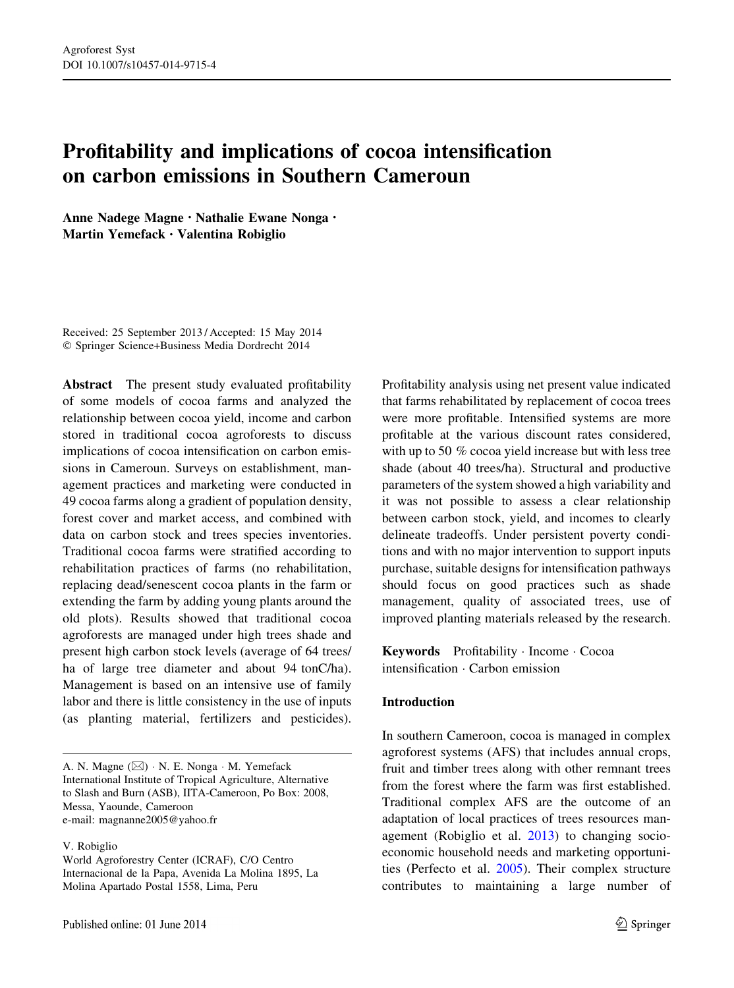# Profitability and implications of cocoa intensification on carbon emissions in Southern Cameroun

Anne Nadege Magne • Nathalie Ewane Nonga • Martin Yemefack • Valentina Robiglio

Received: 25 September 2013 / Accepted: 15 May 2014 - Springer Science+Business Media Dordrecht 2014

Abstract The present study evaluated profitability of some models of cocoa farms and analyzed the relationship between cocoa yield, income and carbon stored in traditional cocoa agroforests to discuss implications of cocoa intensification on carbon emissions in Cameroun. Surveys on establishment, management practices and marketing were conducted in 49 cocoa farms along a gradient of population density, forest cover and market access, and combined with data on carbon stock and trees species inventories. Traditional cocoa farms were stratified according to rehabilitation practices of farms (no rehabilitation, replacing dead/senescent cocoa plants in the farm or extending the farm by adding young plants around the old plots). Results showed that traditional cocoa agroforests are managed under high trees shade and present high carbon stock levels (average of 64 trees/ ha of large tree diameter and about 94 tonC/ha). Management is based on an intensive use of family labor and there is little consistency in the use of inputs (as planting material, fertilizers and pesticides).

A. N. Magne  $(\boxtimes) \cdot N$ . E. Nonga  $\cdot M$ . Yemefack International Institute of Tropical Agriculture, Alternative to Slash and Burn (ASB), IITA-Cameroon, Po Box: 2008, Messa, Yaounde, Cameroon e-mail: magnanne2005@yahoo.fr

V. Robiglio

World Agroforestry Center (ICRAF), C/O Centro Internacional de la Papa, Avenida La Molina 1895, La Molina Apartado Postal 1558, Lima, Peru

Profitability analysis using net present value indicated that farms rehabilitated by replacement of cocoa trees were more profitable. Intensified systems are more profitable at the various discount rates considered, with up to 50 % cocoa yield increase but with less tree shade (about 40 trees/ha). Structural and productive parameters of the system showed a high variability and it was not possible to assess a clear relationship between carbon stock, yield, and incomes to clearly delineate tradeoffs. Under persistent poverty conditions and with no major intervention to support inputs purchase, suitable designs for intensification pathways should focus on good practices such as shade management, quality of associated trees, use of improved planting materials released by the research.

Keywords Profitability - Income - Cocoa intensification - Carbon emission

#### Introduction

In southern Cameroon, cocoa is managed in complex agroforest systems (AFS) that includes annual crops, fruit and timber trees along with other remnant trees from the forest where the farm was first established. Traditional complex AFS are the outcome of an adaptation of local practices of trees resources management (Robiglio et al. [2013\)](#page-9-0) to changing socioeconomic household needs and marketing opportunities (Perfecto et al. [2005](#page-8-0)). Their complex structure contributes to maintaining a large number of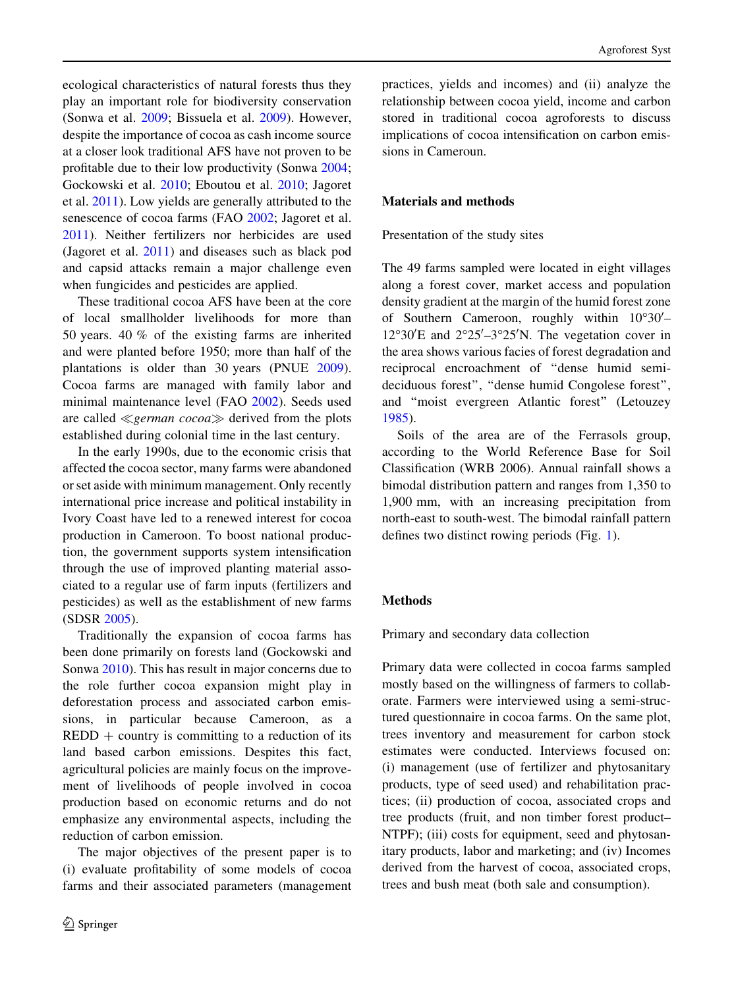ecological characteristics of natural forests thus they play an important role for biodiversity conservation (Sonwa et al. [2009](#page-9-0); Bissuela et al. [2009\)](#page-8-0). However, despite the importance of cocoa as cash income source at a closer look traditional AFS have not proven to be profitable due to their low productivity (Sonwa [2004](#page-9-0); Gockowski et al. [2010;](#page-8-0) Eboutou et al. [2010](#page-8-0); Jagoret et al. [2011\)](#page-8-0). Low yields are generally attributed to the senescence of cocoa farms (FAO [2002](#page-8-0); Jagoret et al. [2011\)](#page-8-0). Neither fertilizers nor herbicides are used (Jagoret et al. [2011\)](#page-8-0) and diseases such as black pod and capsid attacks remain a major challenge even when fungicides and pesticides are applied.

These traditional cocoa AFS have been at the core of local smallholder livelihoods for more than 50 years. 40 % of the existing farms are inherited and were planted before 1950; more than half of the plantations is older than 30 years (PNUE [2009](#page-9-0)). Cocoa farms are managed with family labor and minimal maintenance level (FAO [2002\)](#page-8-0). Seeds used are called  $\ll$ *german cocoa* $\gg$  derived from the plots established during colonial time in the last century.

In the early 1990s, due to the economic crisis that affected the cocoa sector, many farms were abandoned or set aside with minimum management. Only recently international price increase and political instability in Ivory Coast have led to a renewed interest for cocoa production in Cameroon. To boost national production, the government supports system intensification through the use of improved planting material associated to a regular use of farm inputs (fertilizers and pesticides) as well as the establishment of new farms (SDSR [2005\)](#page-9-0).

Traditionally the expansion of cocoa farms has been done primarily on forests land (Gockowski and Sonwa [2010](#page-8-0)). This has result in major concerns due to the role further cocoa expansion might play in deforestation process and associated carbon emissions, in particular because Cameroon, as a  $REDD + country$  is committing to a reduction of its land based carbon emissions. Despites this fact, agricultural policies are mainly focus on the improvement of livelihoods of people involved in cocoa production based on economic returns and do not emphasize any environmental aspects, including the reduction of carbon emission.

The major objectives of the present paper is to (i) evaluate profitability of some models of cocoa farms and their associated parameters (management practices, yields and incomes) and (ii) analyze the relationship between cocoa yield, income and carbon stored in traditional cocoa agroforests to discuss implications of cocoa intensification on carbon emissions in Cameroun.

## Materials and methods

Presentation of the study sites

The 49 farms sampled were located in eight villages along a forest cover, market access and population density gradient at the margin of the humid forest zone of Southern Cameroon, roughly within  $10^{\circ}30'$ - $12^{\circ}30'E$  and  $2^{\circ}25'-3^{\circ}25'N$ . The vegetation cover in the area shows various facies of forest degradation and reciprocal encroachment of ''dense humid semideciduous forest'', ''dense humid Congolese forest'', and ''moist evergreen Atlantic forest'' (Letouzey [1985\)](#page-8-0).

Soils of the area are of the Ferrasols group, according to the World Reference Base for Soil Classification (WRB 2006). Annual rainfall shows a bimodal distribution pattern and ranges from 1,350 to 1,900 mm, with an increasing precipitation from north-east to south-west. The bimodal rainfall pattern defines two distinct rowing periods (Fig. [1\)](#page-2-0).

# Methods

Primary and secondary data collection

Primary data were collected in cocoa farms sampled mostly based on the willingness of farmers to collaborate. Farmers were interviewed using a semi-structured questionnaire in cocoa farms. On the same plot, trees inventory and measurement for carbon stock estimates were conducted. Interviews focused on: (i) management (use of fertilizer and phytosanitary products, type of seed used) and rehabilitation practices; (ii) production of cocoa, associated crops and tree products (fruit, and non timber forest product– NTPF); (iii) costs for equipment, seed and phytosanitary products, labor and marketing; and (iv) Incomes derived from the harvest of cocoa, associated crops, trees and bush meat (both sale and consumption).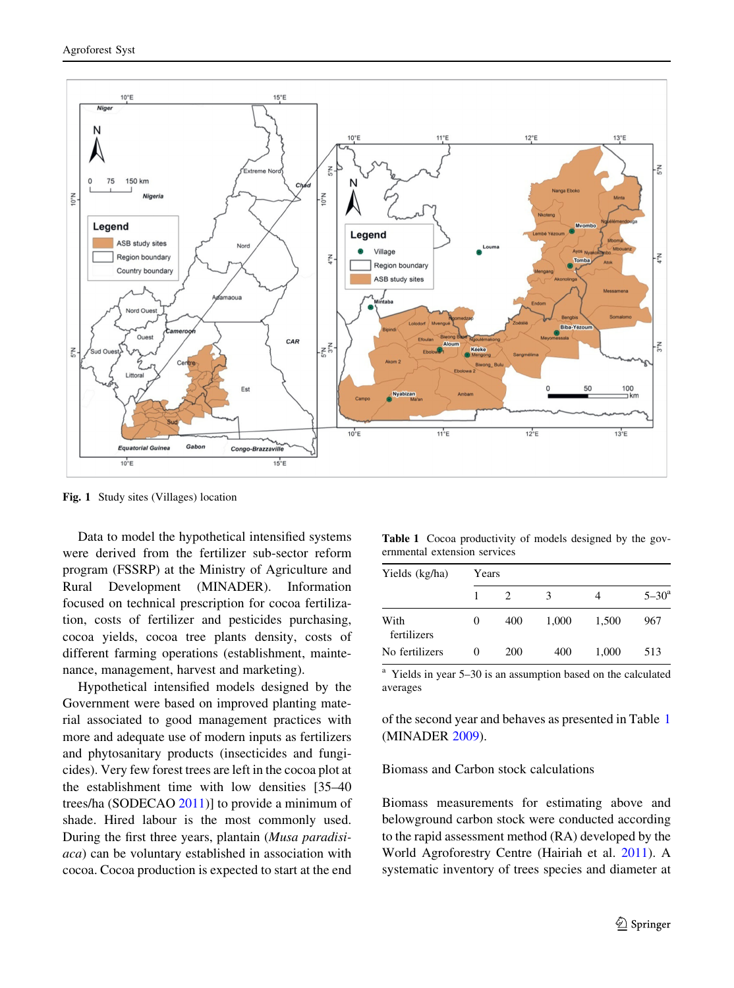<span id="page-2-0"></span>

Fig. 1 Study sites (Villages) location

Data to model the hypothetical intensified systems were derived from the fertilizer sub-sector reform program (FSSRP) at the Ministry of Agriculture and Rural Development (MINADER). Information focused on technical prescription for cocoa fertilization, costs of fertilizer and pesticides purchasing, cocoa yields, cocoa tree plants density, costs of different farming operations (establishment, maintenance, management, harvest and marketing).

Hypothetical intensified models designed by the Government were based on improved planting material associated to good management practices with more and adequate use of modern inputs as fertilizers and phytosanitary products (insecticides and fungicides). Very few forest trees are left in the cocoa plot at the establishment time with low densities [35–40 trees/ha (SODECAO [2011](#page-9-0))] to provide a minimum of shade. Hired labour is the most commonly used. During the first three years, plantain (Musa paradisiaca) can be voluntary established in association with cocoa. Cocoa production is expected to start at the end

Table 1 Cocoa productivity of models designed by the governmental extension services

| Yields (kg/ha)      | Years    |     |       |       |                  |  |  |
|---------------------|----------|-----|-------|-------|------------------|--|--|
|                     |          |     | 3     | 4     | $5 - 30^{\circ}$ |  |  |
| With<br>fertilizers | 0        | 400 | 1,000 | 1,500 | 967              |  |  |
| No fertilizers      | $\theta$ | 200 | 400   | 1.000 | 513              |  |  |

<sup>a</sup> Yields in year 5–30 is an assumption based on the calculated averages

of the second year and behaves as presented in Table 1 (MINADER [2009](#page-8-0)).

Biomass and Carbon stock calculations

Biomass measurements for estimating above and belowground carbon stock were conducted according to the rapid assessment method (RA) developed by the World Agroforestry Centre (Hairiah et al. [2011](#page-8-0)). A systematic inventory of trees species and diameter at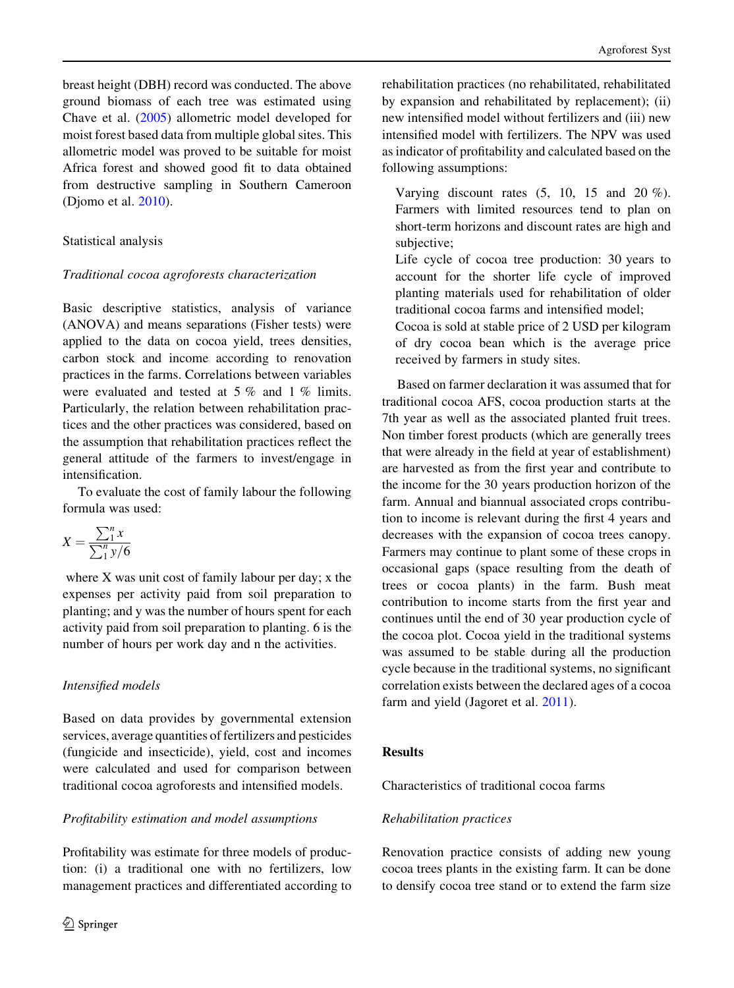breast height (DBH) record was conducted. The above ground biomass of each tree was estimated using Chave et al. ([2005](#page-8-0)) allometric model developed for moist forest based data from multiple global sites. This allometric model was proved to be suitable for moist Africa forest and showed good fit to data obtained from destructive sampling in Southern Cameroon (Djomo et al. [2010](#page-8-0)).

## Statistical analysis

## Traditional cocoa agroforests characterization

Basic descriptive statistics, analysis of variance (ANOVA) and means separations (Fisher tests) were applied to the data on cocoa yield, trees densities, carbon stock and income according to renovation practices in the farms. Correlations between variables were evaluated and tested at 5 % and 1 % limits. Particularly, the relation between rehabilitation practices and the other practices was considered, based on the assumption that rehabilitation practices reflect the general attitude of the farmers to invest/engage in intensification.

To evaluate the cost of family labour the following formula was used:

$$
X = \frac{\sum_1^n x}{\sum_1^n y/6}
$$

where X was unit cost of family labour per day; x the expenses per activity paid from soil preparation to planting; and y was the number of hours spent for each activity paid from soil preparation to planting. 6 is the number of hours per work day and n the activities.

# Intensified models

Based on data provides by governmental extension services, average quantities of fertilizers and pesticides (fungicide and insecticide), yield, cost and incomes were calculated and used for comparison between traditional cocoa agroforests and intensified models.

# Profitability estimation and model assumptions

Profitability was estimate for three models of production: (i) a traditional one with no fertilizers, low management practices and differentiated according to rehabilitation practices (no rehabilitated, rehabilitated by expansion and rehabilitated by replacement); (ii) new intensified model without fertilizers and (iii) new intensified model with fertilizers. The NPV was used as indicator of profitability and calculated based on the following assumptions:

Varying discount rates (5, 10, 15 and 20 %). Farmers with limited resources tend to plan on short-term horizons and discount rates are high and subjective;

Life cycle of cocoa tree production: 30 years to account for the shorter life cycle of improved planting materials used for rehabilitation of older traditional cocoa farms and intensified model;

Cocoa is sold at stable price of 2 USD per kilogram of dry cocoa bean which is the average price received by farmers in study sites.

Based on farmer declaration it was assumed that for traditional cocoa AFS, cocoa production starts at the 7th year as well as the associated planted fruit trees. Non timber forest products (which are generally trees that were already in the field at year of establishment) are harvested as from the first year and contribute to the income for the 30 years production horizon of the farm. Annual and biannual associated crops contribution to income is relevant during the first 4 years and decreases with the expansion of cocoa trees canopy. Farmers may continue to plant some of these crops in occasional gaps (space resulting from the death of trees or cocoa plants) in the farm. Bush meat contribution to income starts from the first year and continues until the end of 30 year production cycle of the cocoa plot. Cocoa yield in the traditional systems was assumed to be stable during all the production cycle because in the traditional systems, no significant correlation exists between the declared ages of a cocoa farm and yield (Jagoret et al. [2011](#page-8-0)).

## **Results**

Characteristics of traditional cocoa farms

## Rehabilitation practices

Renovation practice consists of adding new young cocoa trees plants in the existing farm. It can be done to densify cocoa tree stand or to extend the farm size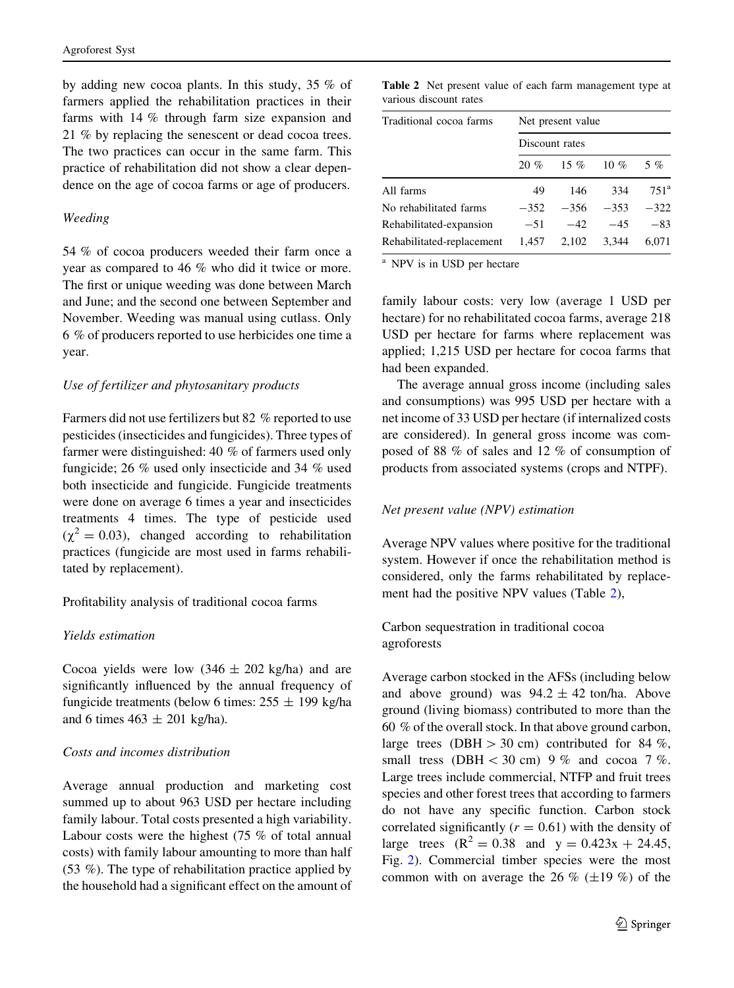by adding new cocoa plants. In this study, 35 % of farmers applied the rehabilitation practices in their farms with 14 % through farm size expansion and 21 % by replacing the senescent or dead cocoa trees. The two practices can occur in the same farm. This practice of rehabilitation did not show a clear dependence on the age of cocoa farms or age of producers.

#### Weeding

54 % of cocoa producers weeded their farm once a year as compared to 46 % who did it twice or more. The first or unique weeding was done between March and June; and the second one between September and November. Weeding was manual using cutlass. Only 6 % of producers reported to use herbicides one time a year.

#### Use of fertilizer and phytosanitary products

Farmers did not use fertilizers but 82 % reported to use pesticides (insecticides and fungicides). Three types of farmer were distinguished: 40 % of farmers used only fungicide; 26 % used only insecticide and 34 % used both insecticide and fungicide. Fungicide treatments were done on average 6 times a year and insecticides treatments 4 times. The type of pesticide used  $(\chi^2 = 0.03)$ , changed according to rehabilitation practices (fungicide are most used in farms rehabilitated by replacement).

Profitability analysis of traditional cocoa farms

## Yields estimation

Cocoa yields were low  $(346 \pm 202 \text{ kg/ha})$  and are significantly influenced by the annual frequency of fungicide treatments (below 6 times:  $255 \pm 199$  kg/ha and 6 times  $463 \pm 201$  kg/ha).

## Costs and incomes distribution

Average annual production and marketing cost summed up to about 963 USD per hectare including family labour. Total costs presented a high variability. Labour costs were the highest (75 % of total annual costs) with family labour amounting to more than half (53 %). The type of rehabilitation practice applied by the household had a significant effect on the amount of

Table 2 Net present value of each farm management type at various discount rates

| Traditional cocoa farms   | Net present value |        |        |               |  |  |  |
|---------------------------|-------------------|--------|--------|---------------|--|--|--|
|                           | Discount rates    |        |        |               |  |  |  |
|                           | $20 \%$           | 15 %   | 10 $%$ | 5%            |  |  |  |
| All farms                 | 49                | 146    | 334    | $751^{\rm a}$ |  |  |  |
| No rehabilitated farms    | $-352$            | $-356$ | $-353$ | $-322$        |  |  |  |
| Rehabilitated-expansion   | $-51$             | $-42$  | $-45$  | $-83$         |  |  |  |
| Rehabilitated-replacement | 1,457             | 2,102  | 3.344  | 6.071         |  |  |  |

<sup>a</sup> NPV is in USD per hectare

family labour costs: very low (average 1 USD per hectare) for no rehabilitated cocoa farms, average 218 USD per hectare for farms where replacement was applied; 1,215 USD per hectare for cocoa farms that had been expanded.

The average annual gross income (including sales and consumptions) was 995 USD per hectare with a net income of 33 USD per hectare (if internalized costs are considered). In general gross income was composed of 88 % of sales and 12 % of consumption of products from associated systems (crops and NTPF).

## Net present value (NPV) estimation

Average NPV values where positive for the traditional system. However if once the rehabilitation method is considered, only the farms rehabilitated by replacement had the positive NPV values (Table 2),

Carbon sequestration in traditional cocoa agroforests

Average carbon stocked in the AFSs (including below and above ground) was  $94.2 \pm 42$  ton/ha. Above ground (living biomass) contributed to more than the 60 % of the overall stock. In that above ground carbon, large trees (DBH  $> 30$  cm) contributed for 84 %, small tress (DBH  $<$  30 cm) 9 % and cocoa 7 %. Large trees include commercial, NTFP and fruit trees species and other forest trees that according to farmers do not have any specific function. Carbon stock correlated significantly  $(r = 0.61)$  with the density of large trees  $(R^2 = 0.38$  and  $y = 0.423x + 24.45$ , Fig. [2\)](#page-5-0). Commercial timber species were the most common with on average the 26 % ( $\pm$ 19 %) of the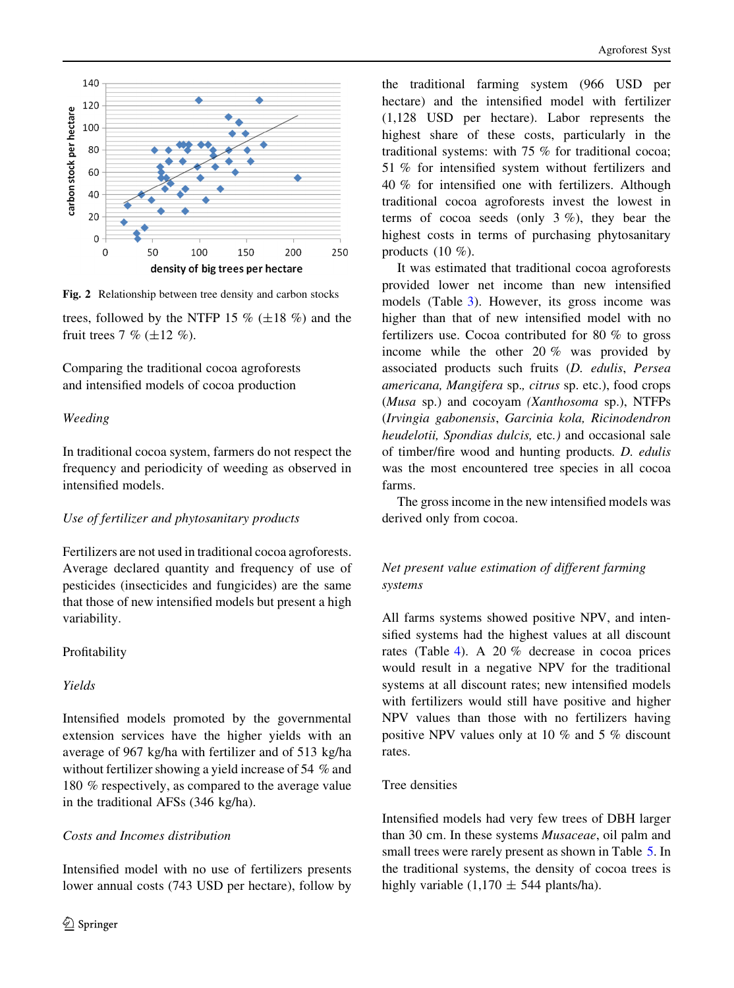<span id="page-5-0"></span>

Fig. 2 Relationship between tree density and carbon stocks

trees, followed by the NTFP 15  $\%$  ( $\pm$ 18  $\%$ ) and the fruit trees 7 %  $(\pm 12 \%)$ .

Comparing the traditional cocoa agroforests and intensified models of cocoa production

## Weeding

In traditional cocoa system, farmers do not respect the frequency and periodicity of weeding as observed in intensified models.

# Use of fertilizer and phytosanitary products

Fertilizers are not used in traditional cocoa agroforests. Average declared quantity and frequency of use of pesticides (insecticides and fungicides) are the same that those of new intensified models but present a high variability.

# Profitability

## Yields

Intensified models promoted by the governmental extension services have the higher yields with an average of 967 kg/ha with fertilizer and of 513 kg/ha without fertilizer showing a yield increase of 54 % and 180 % respectively, as compared to the average value in the traditional AFSs (346 kg/ha).

# Costs and Incomes distribution

Intensified model with no use of fertilizers presents lower annual costs (743 USD per hectare), follow by the traditional farming system (966 USD per hectare) and the intensified model with fertilizer (1,128 USD per hectare). Labor represents the highest share of these costs, particularly in the traditional systems: with 75 % for traditional cocoa; 51 % for intensified system without fertilizers and 40 % for intensified one with fertilizers. Although traditional cocoa agroforests invest the lowest in terms of cocoa seeds (only 3 %), they bear the highest costs in terms of purchasing phytosanitary products (10 %).

It was estimated that traditional cocoa agroforests provided lower net income than new intensified models (Table [3\)](#page-6-0). However, its gross income was higher than that of new intensified model with no fertilizers use. Cocoa contributed for 80 % to gross income while the other 20 % was provided by associated products such fruits (D. edulis, Persea americana, Mangifera sp., citrus sp. etc.), food crops (Musa sp.) and cocoyam (Xanthosoma sp.), NTFPs (Irvingia gabonensis, Garcinia kola, Ricinodendron heudelotii, Spondias dulcis, etc.) and occasional sale of timber/fire wood and hunting products. D. edulis was the most encountered tree species in all cocoa farms.

The gross income in the new intensified models was derived only from cocoa.

# Net present value estimation of different farming systems

All farms systems showed positive NPV, and intensified systems had the highest values at all discount rates (Table [4\)](#page-6-0). A 20 % decrease in cocoa prices would result in a negative NPV for the traditional systems at all discount rates; new intensified models with fertilizers would still have positive and higher NPV values than those with no fertilizers having positive NPV values only at 10 % and 5 % discount rates.

## Tree densities

Intensified models had very few trees of DBH larger than 30 cm. In these systems Musaceae, oil palm and small trees were rarely present as shown in Table [5](#page-6-0). In the traditional systems, the density of cocoa trees is highly variable (1,170  $\pm$  544 plants/ha).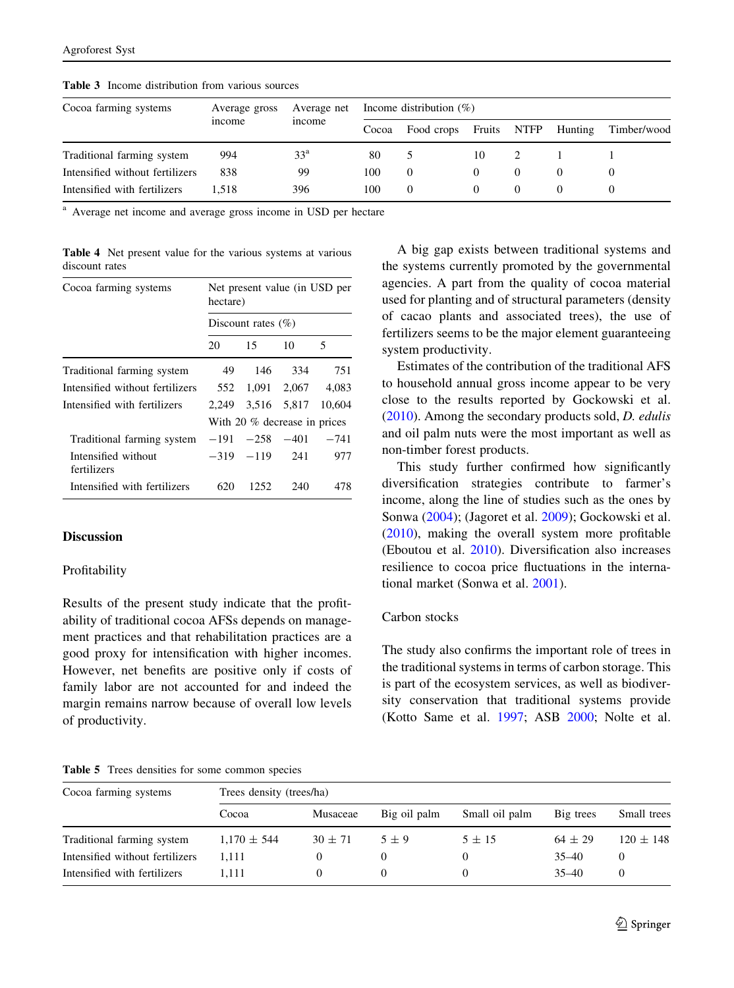| Cocoa farming systems           | Average gross<br>income | Average net<br>income | Income distribution $(\%)$ |            |          |             |         |             |
|---------------------------------|-------------------------|-----------------------|----------------------------|------------|----------|-------------|---------|-------------|
|                                 |                         |                       | Cocoa                      | Food crops | Fruits   | <b>NTFP</b> | Hunting | Timber/wood |
| Traditional farming system      | 994                     | 33 <sup>a</sup>       | 80                         |            | 10       |             |         |             |
| Intensified without fertilizers | 838                     | 99                    | 100                        | $\Omega$   |          | $\theta$    |         | $\theta$    |
| Intensified with fertilizers    | 1.518                   | 396                   | 100                        | $\Omega$   | $\theta$ | $\theta$    |         |             |

<span id="page-6-0"></span>Table 3 Income distribution from various sources

<sup>a</sup> Average net income and average gross income in USD per hectare

Table 4 Net present value for the various systems at various discount rates

| Cocoa farming systems              | Net present value (in USD per<br>hectare) |                   |             |        |  |  |  |
|------------------------------------|-------------------------------------------|-------------------|-------------|--------|--|--|--|
|                                    | Discount rates $(\% )$                    |                   |             |        |  |  |  |
|                                    | 20                                        | 15                | 10          | 5      |  |  |  |
| Traditional farming system         | 49                                        | 146               | 334         | 751    |  |  |  |
| Intensified without fertilizers    | 552                                       | 1.091             | 2.067       | 4.083  |  |  |  |
| Intensified with fertilizers       | 2.249                                     |                   | 3.516 5.817 | 10.604 |  |  |  |
|                                    | With 20 % decrease in prices              |                   |             |        |  |  |  |
| Traditional farming system         | $-191$                                    | $-258$            | $-401$      | $-741$ |  |  |  |
| Intensified without<br>fertilizers |                                           | $-319$ $-119$ 241 |             | 977    |  |  |  |
| Intensified with fertilizers       | 620                                       | 1252.             | 240         | 478    |  |  |  |

## Discussion

#### Profitability

Results of the present study indicate that the profitability of traditional cocoa AFSs depends on management practices and that rehabilitation practices are a good proxy for intensification with higher incomes. However, net benefits are positive only if costs of family labor are not accounted for and indeed the margin remains narrow because of overall low levels of productivity.

Table 5 Trees densities for some common species

A big gap exists between traditional systems and the systems currently promoted by the governmental agencies. A part from the quality of cocoa material used for planting and of structural parameters (density of cacao plants and associated trees), the use of fertilizers seems to be the major element guaranteeing system productivity.

Estimates of the contribution of the traditional AFS to household annual gross income appear to be very close to the results reported by Gockowski et al. [\(2010](#page-8-0)). Among the secondary products sold, D. edulis and oil palm nuts were the most important as well as non-timber forest products.

This study further confirmed how significantly diversification strategies contribute to farmer's income, along the line of studies such as the ones by Sonwa ([2004\)](#page-9-0); (Jagoret et al. [2009\)](#page-8-0); Gockowski et al. [\(2010](#page-8-0)), making the overall system more profitable (Eboutou et al. [2010\)](#page-8-0). Diversification also increases resilience to cocoa price fluctuations in the international market (Sonwa et al. [2001](#page-9-0)).

#### Carbon stocks

The study also confirms the important role of trees in the traditional systems in terms of carbon storage. This is part of the ecosystem services, as well as biodiversity conservation that traditional systems provide (Kotto Same et al. [1997;](#page-8-0) ASB [2000;](#page-8-0) Nolte et al.

| Cocoa farming systems           | Trees density (trees/ha) |             |              |                |             |               |  |  |
|---------------------------------|--------------------------|-------------|--------------|----------------|-------------|---------------|--|--|
|                                 | Cocoa                    | Musaceae    | Big oil palm | Small oil palm | Big trees   | Small trees   |  |  |
| Traditional farming system      | $1,170 \pm 544$          | $30 \pm 71$ | $5 + 9$      | $5 \pm 15$     | $64 \pm 29$ | $120 \pm 148$ |  |  |
| Intensified without fertilizers | 1.111                    |             |              |                | $35 - 40$   |               |  |  |
| Intensified with fertilizers    | 1.111                    | $\theta$    | $\theta$     |                | $35 - 40$   | $_{0}$        |  |  |
|                                 |                          |             |              |                |             |               |  |  |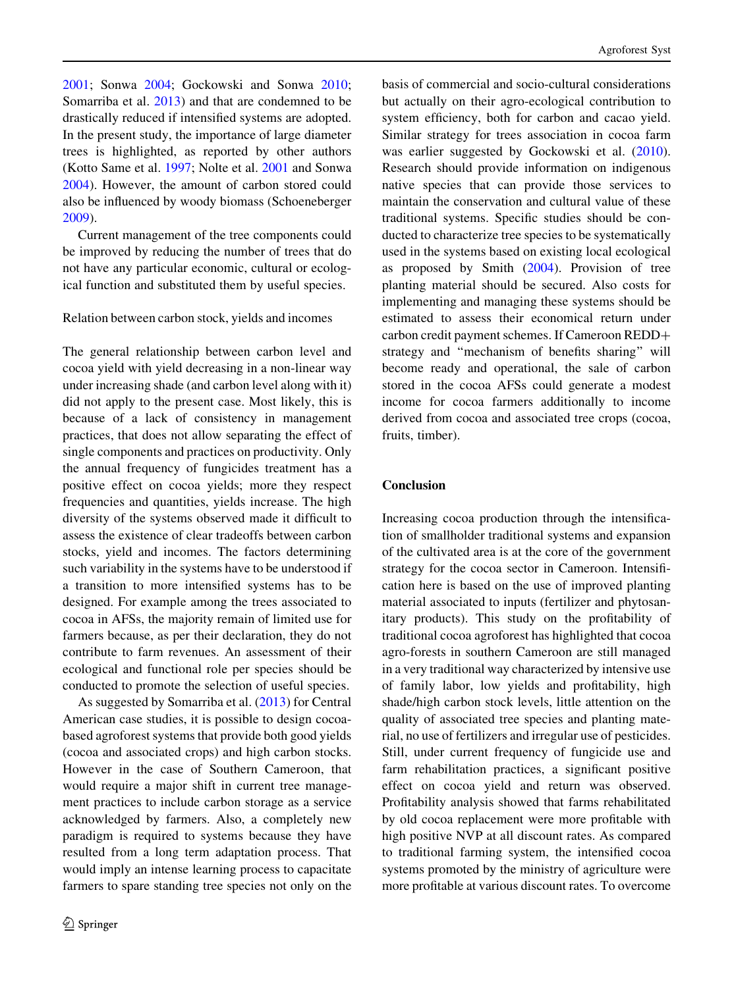[2001;](#page-8-0) Sonwa [2004;](#page-9-0) Gockowski and Sonwa [2010](#page-8-0); Somarriba et al. [2013\)](#page-9-0) and that are condemned to be drastically reduced if intensified systems are adopted. In the present study, the importance of large diameter trees is highlighted, as reported by other authors (Kotto Same et al. [1997;](#page-8-0) Nolte et al. [2001](#page-8-0) and Sonwa [2004\)](#page-9-0). However, the amount of carbon stored could also be influenced by woody biomass (Schoeneberger [2009\)](#page-9-0).

Current management of the tree components could be improved by reducing the number of trees that do not have any particular economic, cultural or ecological function and substituted them by useful species.

Relation between carbon stock, yields and incomes

The general relationship between carbon level and cocoa yield with yield decreasing in a non-linear way under increasing shade (and carbon level along with it) did not apply to the present case. Most likely, this is because of a lack of consistency in management practices, that does not allow separating the effect of single components and practices on productivity. Only the annual frequency of fungicides treatment has a positive effect on cocoa yields; more they respect frequencies and quantities, yields increase. The high diversity of the systems observed made it difficult to assess the existence of clear tradeoffs between carbon stocks, yield and incomes. The factors determining such variability in the systems have to be understood if a transition to more intensified systems has to be designed. For example among the trees associated to cocoa in AFSs, the majority remain of limited use for farmers because, as per their declaration, they do not contribute to farm revenues. An assessment of their ecological and functional role per species should be conducted to promote the selection of useful species.

As suggested by Somarriba et al. [\(2013](#page-9-0)) for Central American case studies, it is possible to design cocoabased agroforest systems that provide both good yields (cocoa and associated crops) and high carbon stocks. However in the case of Southern Cameroon, that would require a major shift in current tree management practices to include carbon storage as a service acknowledged by farmers. Also, a completely new paradigm is required to systems because they have resulted from a long term adaptation process. That would imply an intense learning process to capacitate farmers to spare standing tree species not only on the basis of commercial and socio-cultural considerations but actually on their agro-ecological contribution to system efficiency, both for carbon and cacao yield. Similar strategy for trees association in cocoa farm was earlier suggested by Gockowski et al. ([2010](#page-8-0)). Research should provide information on indigenous native species that can provide those services to maintain the conservation and cultural value of these traditional systems. Specific studies should be conducted to characterize tree species to be systematically used in the systems based on existing local ecological as proposed by Smith [\(2004](#page-9-0)). Provision of tree planting material should be secured. Also costs for implementing and managing these systems should be estimated to assess their economical return under carbon credit payment schemes. If Cameroon REDD+ strategy and ''mechanism of benefits sharing'' will become ready and operational, the sale of carbon stored in the cocoa AFSs could generate a modest income for cocoa farmers additionally to income derived from cocoa and associated tree crops (cocoa, fruits, timber).

## Conclusion

Increasing cocoa production through the intensification of smallholder traditional systems and expansion of the cultivated area is at the core of the government strategy for the cocoa sector in Cameroon. Intensification here is based on the use of improved planting material associated to inputs (fertilizer and phytosanitary products). This study on the profitability of traditional cocoa agroforest has highlighted that cocoa agro-forests in southern Cameroon are still managed in a very traditional way characterized by intensive use of family labor, low yields and profitability, high shade/high carbon stock levels, little attention on the quality of associated tree species and planting material, no use of fertilizers and irregular use of pesticides. Still, under current frequency of fungicide use and farm rehabilitation practices, a significant positive effect on cocoa yield and return was observed. Profitability analysis showed that farms rehabilitated by old cocoa replacement were more profitable with high positive NVP at all discount rates. As compared to traditional farming system, the intensified cocoa systems promoted by the ministry of agriculture were more profitable at various discount rates. To overcome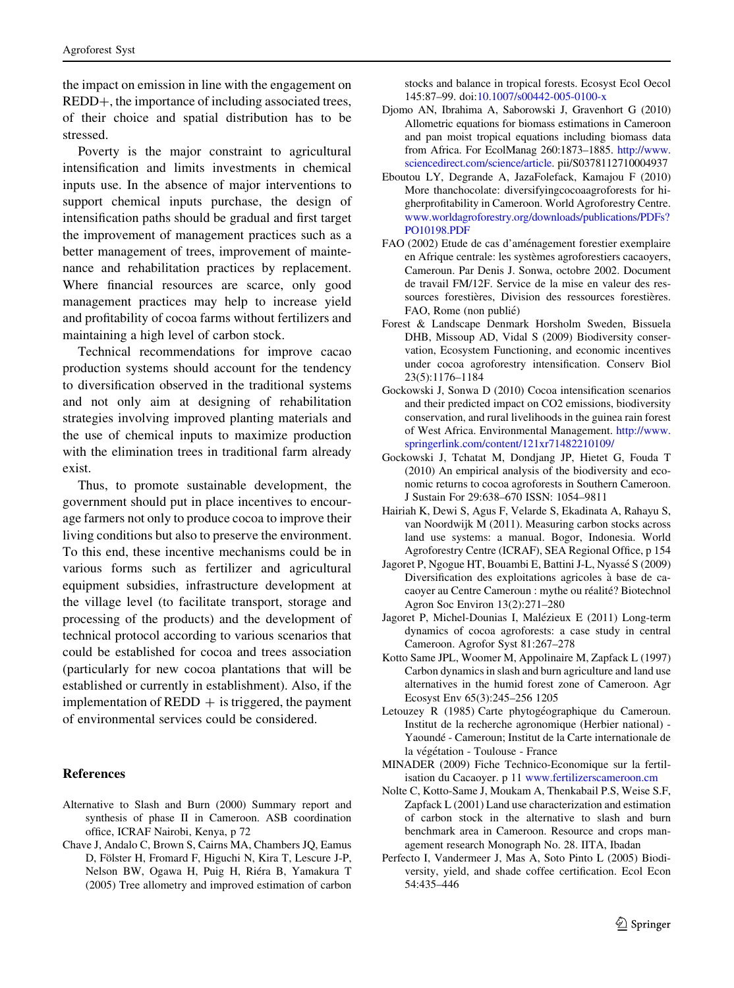<span id="page-8-0"></span>the impact on emission in line with the engagement on REDD+, the importance of including associated trees, of their choice and spatial distribution has to be stressed.

Poverty is the major constraint to agricultural intensification and limits investments in chemical inputs use. In the absence of major interventions to support chemical inputs purchase, the design of intensification paths should be gradual and first target the improvement of management practices such as a better management of trees, improvement of maintenance and rehabilitation practices by replacement. Where financial resources are scarce, only good management practices may help to increase yield and profitability of cocoa farms without fertilizers and maintaining a high level of carbon stock.

Technical recommendations for improve cacao production systems should account for the tendency to diversification observed in the traditional systems and not only aim at designing of rehabilitation strategies involving improved planting materials and the use of chemical inputs to maximize production with the elimination trees in traditional farm already exist.

Thus, to promote sustainable development, the government should put in place incentives to encourage farmers not only to produce cocoa to improve their living conditions but also to preserve the environment. To this end, these incentive mechanisms could be in various forms such as fertilizer and agricultural equipment subsidies, infrastructure development at the village level (to facilitate transport, storage and processing of the products) and the development of technical protocol according to various scenarios that could be established for cocoa and trees association (particularly for new cocoa plantations that will be established or currently in establishment). Also, if the implementation of  $REDD +$  is triggered, the payment of environmental services could be considered.

#### References

- Alternative to Slash and Burn (2000) Summary report and synthesis of phase II in Cameroon. ASB coordination office, ICRAF Nairobi, Kenya, p 72
- Chave J, Andalo C, Brown S, Cairns MA, Chambers JQ, Eamus D, Fölster H, Fromard F, Higuchi N, Kira T, Lescure J-P, Nelson BW, Ogawa H, Puig H, Riéra B, Yamakura T (2005) Tree allometry and improved estimation of carbon

stocks and balance in tropical forests. Ecosyst Ecol Oecol 145:87–99. doi:[10.1007/s00442-005-0100-x](http://dx.doi.org/10.1007/s00442-005-0100-x)

- Djomo AN, Ibrahima A, Saborowski J, Gravenhort G (2010) Allometric equations for biomass estimations in Cameroon and pan moist tropical equations including biomass data from Africa. For EcolManag 260:1873–1885. [http://www.](http://www.sciencedirect.com/science/article) [sciencedirect.com/science/article](http://www.sciencedirect.com/science/article). pii/S0378112710004937
- Eboutou LY, Degrande A, JazaFolefack, Kamajou F (2010) More thanchocolate: diversifyingcocoaagroforests for higherprofitability in Cameroon. World Agroforestry Centre. [www.worldagroforestry.org/downloads/publications/PDFs?](http://www.worldagroforestry.org/downloads/publications/PDFs?PO10198.PDF) [PO10198.PDF](http://www.worldagroforestry.org/downloads/publications/PDFs?PO10198.PDF)
- FAO (2002) Etude de cas d'aménagement forestier exemplaire en Afrique centrale: les systèmes agroforestiers cacaoyers, Cameroun. Par Denis J. Sonwa, octobre 2002. Document de travail FM/12F. Service de la mise en valeur des ressources forestières. Division des ressources forestières. FAO, Rome (non publié)
- Forest & Landscape Denmark Horsholm Sweden, Bissuela DHB, Missoup AD, Vidal S (2009) Biodiversity conservation, Ecosystem Functioning, and economic incentives under cocoa agroforestry intensification. Conserv Biol 23(5):1176–1184
- Gockowski J, Sonwa D (2010) Cocoa intensification scenarios and their predicted impact on CO2 emissions, biodiversity conservation, and rural livelihoods in the guinea rain forest of West Africa. Environmental Management. [http://www.](http://www.springerlink.com/content/121xr71482210109/) [springerlink.com/content/121xr71482210109/](http://www.springerlink.com/content/121xr71482210109/)
- Gockowski J, Tchatat M, Dondjang JP, Hietet G, Fouda T (2010) An empirical analysis of the biodiversity and economic returns to cocoa agroforests in Southern Cameroon. J Sustain For 29:638–670 ISSN: 1054–9811
- Hairiah K, Dewi S, Agus F, Velarde S, Ekadinata A, Rahayu S, van Noordwijk M (2011). Measuring carbon stocks across land use systems: a manual. Bogor, Indonesia. World Agroforestry Centre (ICRAF), SEA Regional Office, p 154
- Jagoret P, Ngogue HT, Bouambi E, Battini J-L, Nyassé S (2009) Diversification des exploitations agricoles a` base de cacaoyer au Centre Cameroun : mythe ou réalité? Biotechnol Agron Soc Environ 13(2):271–280
- Jagoret P, Michel-Dounias I, Malézieux E (2011) Long-term dynamics of cocoa agroforests: a case study in central Cameroon. Agrofor Syst 81:267–278
- Kotto Same JPL, Woomer M, Appolinaire M, Zapfack L (1997) Carbon dynamics in slash and burn agriculture and land use alternatives in the humid forest zone of Cameroon. Agr Ecosyst Env 65(3):245–256 1205
- Letouzey R (1985) Carte phytogéographique du Cameroun. Institut de la recherche agronomique (Herbier national) - Yaoundé - Cameroun: Institut de la Carte internationale de la végétation - Toulouse - France
- MINADER (2009) Fiche Technico-Economique sur la fertilisation du Cacaoyer. p 11 [www.fertilizerscameroon.cm](http://www.fertilizerscameroon.cm)
- Nolte C, Kotto-Same J, Moukam A, Thenkabail P.S, Weise S.F, Zapfack L (2001) Land use characterization and estimation of carbon stock in the alternative to slash and burn benchmark area in Cameroon. Resource and crops management research Monograph No. 28. IITA, Ibadan
- Perfecto I, Vandermeer J, Mas A, Soto Pinto L (2005) Biodiversity, yield, and shade coffee certification. Ecol Econ 54:435–446